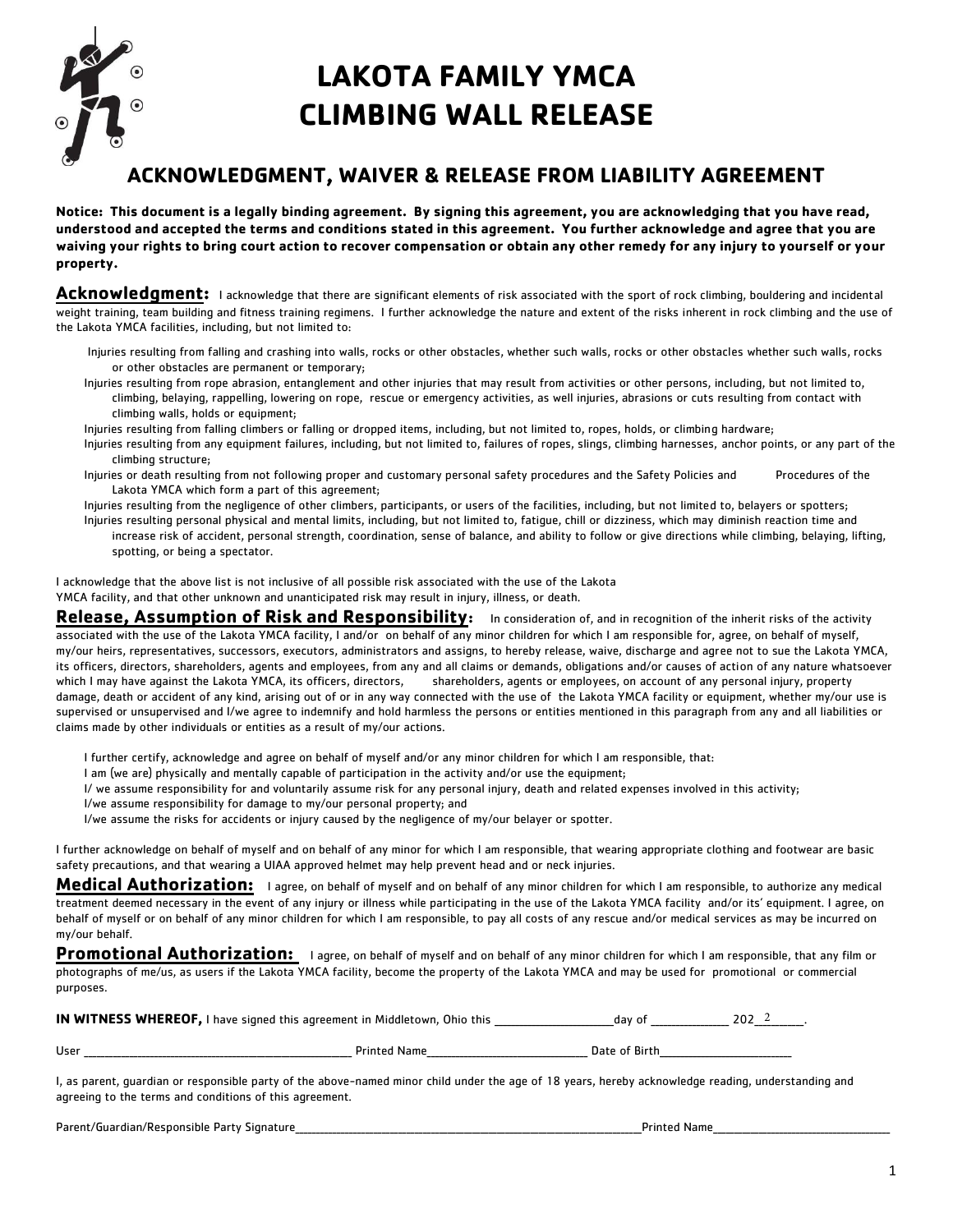

## **LAKOTA FAMILY YMCA CLIMBING WALL RELEASE**

## **ACKNOWLEDGMENT, WAIVER & RELEASE FROM LIABILITY AGREEMENT**

**Notice: This document is a legally binding agreement. By signing this agreement, you are acknowledging that you have read, understood and accepted the terms and conditions stated in this agreement. You further acknowledge and agree that you are waiving your rights to bring court action to recover compensation or obtain any other remedy for any injury to yourself or your property.**

**Acknowledgment:** I acknowledge that there are significant elements of risk associated with the sport of rock climbing, bouldering and incidental weight training, team building and fitness training regimens. I further acknowledge the nature and extent of the risks inherent in rock climbing and the use of the Lakota YMCA facilities, including, but not limited to:

- Injuries resulting from falling and crashing into walls, rocks or other obstacles, whether such walls, rocks or other obstacles whether such walls, rocks or other obstacles are permanent or temporary;
- Injuries resulting from rope abrasion, entanglement and other injuries that may result from activities or other persons, including, but not limited to, climbing, belaying, rappelling, lowering on rope, rescue or emergency activities, as well injuries, abrasions or cuts resulting from contact with climbing walls, holds or equipment;
- Injuries resulting from falling climbers or falling or dropped items, including, but not limited to, ropes, holds, or climbing hardware;
- Injuries resulting from any equipment failures, including, but not limited to, failures of ropes, slings, climbing harnesses, anchor points, or any part of the climbing structure;
- Injuries or death resulting from not following proper and customary personal safety procedures and the Safety Policies and Procedures of the Lakota YMCA which form a part of this agreement;
- Injuries resulting from the negligence of other climbers, participants, or users of the facilities, including, but not limited to, belayers or spotters; Injuries resulting personal physical and mental limits, including, but not limited to, fatigue, chill or dizziness, which may diminish reaction time and increase risk of accident, personal strength, coordination, sense of balance, and ability to follow or give directions while climbing, belaying, lifting, spotting, or being a spectator.

I acknowledge that the above list is not inclusive of all possible risk associated with the use of the Lakota YMCA facility, and that other unknown and unanticipated risk may result in injury, illness, or death.

**Release, Assumption of Risk and Responsibility:** In consideration of, and in recognition of the inherit risks of the activity associated with the use of the Lakota YMCA facility, I and/or on behalf of any minor children for which I am responsible for, agree, on behalf of myself, my/our heirs, representatives, successors, executors, administrators and assigns, to hereby release, waive, discharge and agree not to sue the Lakota YMCA, its officers, directors, shareholders, agents and employees, from any and all claims or demands, obligations and/or causes of action of any nature whatsoever which I may have against the Lakota YMCA, its officers, directors, shareholders, agents or employees, on account of any personal injury, property damage, death or accident of any kind, arising out of or in any way connected with the use of the Lakota YMCA facility or equipment, whether my/our use is supervised or unsupervised and I/we agree to indemnify and hold harmless the persons or entities mentioned in this paragraph from any and all liabilities or claims made by other individuals or entities as a result of my/our actions.

- I further certify, acknowledge and agree on behalf of myself and/or any minor children for which I am responsible, that:
- I am (we are) physically and mentally capable of participation in the activity and/or use the equipment;
- I/ we assume responsibility for and voluntarily assume risk for any personal injury, death and related expenses involved in this activity;
- I/we assume responsibility for damage to my/our personal property; and
- I/we assume the risks for accidents or injury caused by the negligence of my/our belayer or spotter.

I further acknowledge on behalf of myself and on behalf of any minor for which I am responsible, that wearing appropriate clothing and footwear are basic safety precautions, and that wearing a UIAA approved helmet may help prevent head and or neck injuries.

**Medical Authorization:** I agree, on behalf of myself and on behalf of any minor children for which I am responsible, to authorize any medical treatment deemed necessary in the event of any injury or illness while participating in the use of the Lakota YMCA facility and/or its' equipment. I agree, on behalf of myself or on behalf of any minor children for which I am responsible, to pay all costs of any rescue and/or medical services as may be incurred on my/our behalf.

**Promotional Authorization:** I agree, on behalf of myself and on behalf of any minor children for which I am responsible, that any film or photographs of me/us, as users if the Lakota YMCA facility, become the property of the Lakota YMCA and may be used for promotional or commercial purposes.

| IN WITNESS WHEREOF, I have signed this agreement in Middletown, Ohio this<br>dav of | 202 <sup>2</sup> |  |
|-------------------------------------------------------------------------------------|------------------|--|
|-------------------------------------------------------------------------------------|------------------|--|

User \_\_\_\_\_\_\_\_\_\_\_\_\_\_\_\_\_\_\_\_\_\_\_\_\_\_\_\_\_\_\_\_\_\_\_\_\_\_\_\_\_\_\_\_\_\_\_\_\_\_\_\_\_\_\_\_\_\_\_\_\_\_\_\_\_ Printed Name\_\_\_\_\_\_\_\_\_\_\_\_\_\_\_\_\_\_\_\_\_\_\_\_\_\_\_\_\_\_\_\_\_\_\_\_\_\_\_ Date of Birth\_\_\_\_\_\_\_\_\_\_\_\_\_\_\_\_\_\_\_\_\_\_\_\_\_\_\_\_\_\_\_\_

I, as parent, guardian or responsible party of the above-named minor child under the age of 18 years, hereby acknowledge reading, understanding and agreeing to the terms and conditions of this agreement.

Parent/Guardian/Responsible Party Signature\_\_\_\_\_\_\_\_\_\_\_\_\_\_\_\_\_\_\_\_\_\_\_\_\_\_\_\_\_\_\_\_\_\_\_\_\_\_\_\_\_\_\_\_\_\_\_\_\_\_\_\_\_\_\_\_\_\_\_\_\_\_\_\_\_\_\_\_\_\_\_\_\_\_\_\_\_\_\_\_\_\_\_\_Printed Name\_\_\_\_\_\_\_\_\_\_\_\_\_\_\_\_\_\_\_\_\_\_\_\_\_\_\_\_\_\_\_\_\_\_\_\_\_\_\_\_\_\_\_